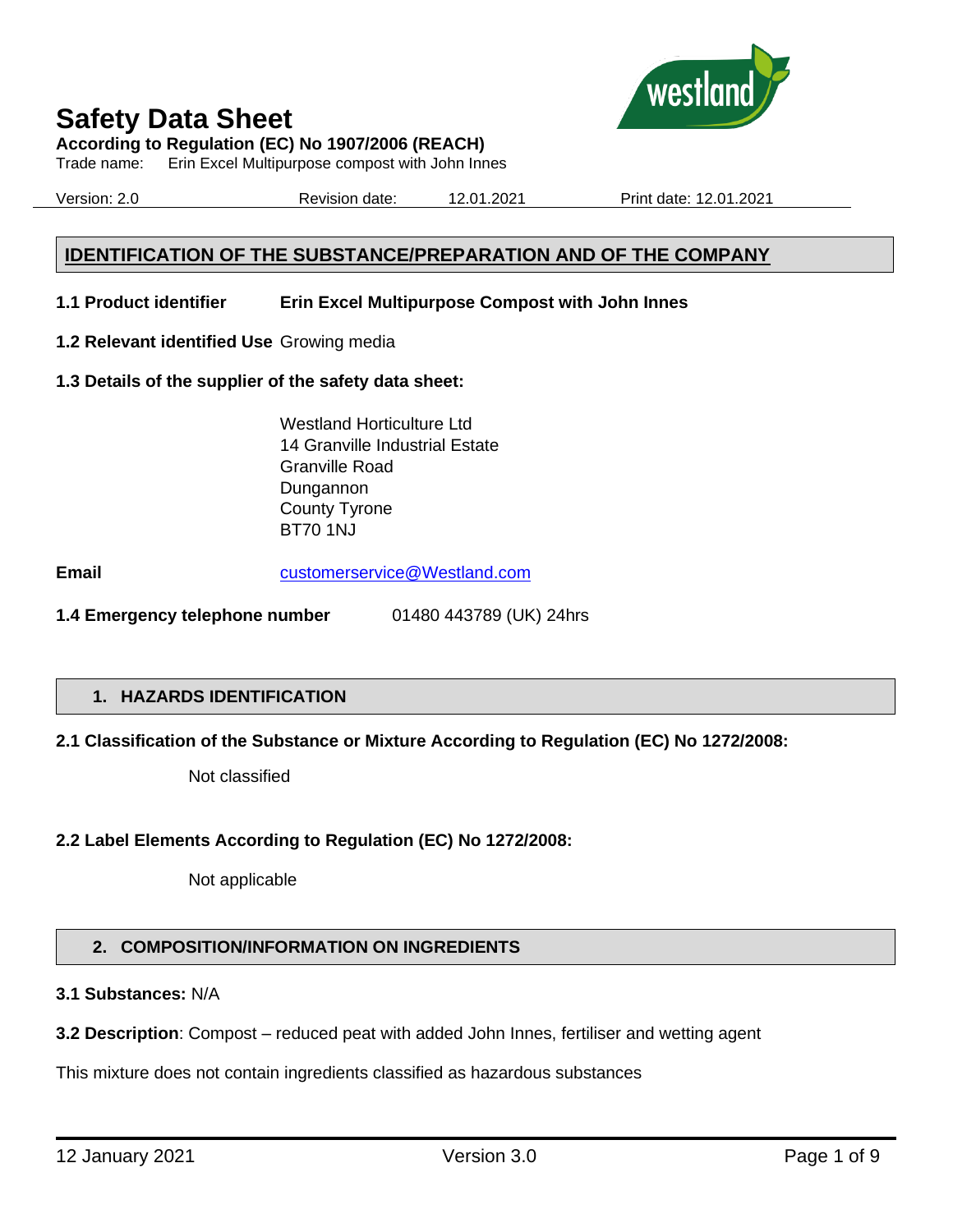

**According to Regulation (EC) No 1907/2006 (REACH)**

Trade name: Erin Excel Multipurpose compost with John Innes

Version: 2.0 Revision date: 12.01.2021 Print date: 12.01.2021

#### **IDENTIFICATION OF THE SUBSTANCE/PREPARATION AND OF THE COMPANY**

- **1.1 Product identifier Erin Excel Multipurpose Compost with John Innes**
- **1.2 Relevant identified Use** Growing media
- **1.3 Details of the supplier of the safety data sheet:**

Westland Horticulture Ltd 14 Granville Industrial Estate Granville Road Dungannon County Tyrone BT70 1NJ

**Email** [customerservice@Westland.com](mailto:customerservice@Westland.com)

**1.4 Emergency telephone number** 01480 443789 (UK) 24hrs

#### **1. HAZARDS IDENTIFICATION**

#### **2.1 Classification of the Substance or Mixture According to Regulation (EC) No 1272/2008:**

Not classified

#### **2.2 Label Elements According to Regulation (EC) No 1272/2008:**

Not applicable

#### **2. COMPOSITION/INFORMATION ON INGREDIENTS**

#### **3.1 Substances:** N/A

**3.2 Description**: Compost – reduced peat with added John Innes, fertiliser and wetting agent

This mixture does not contain ingredients classified as hazardous substances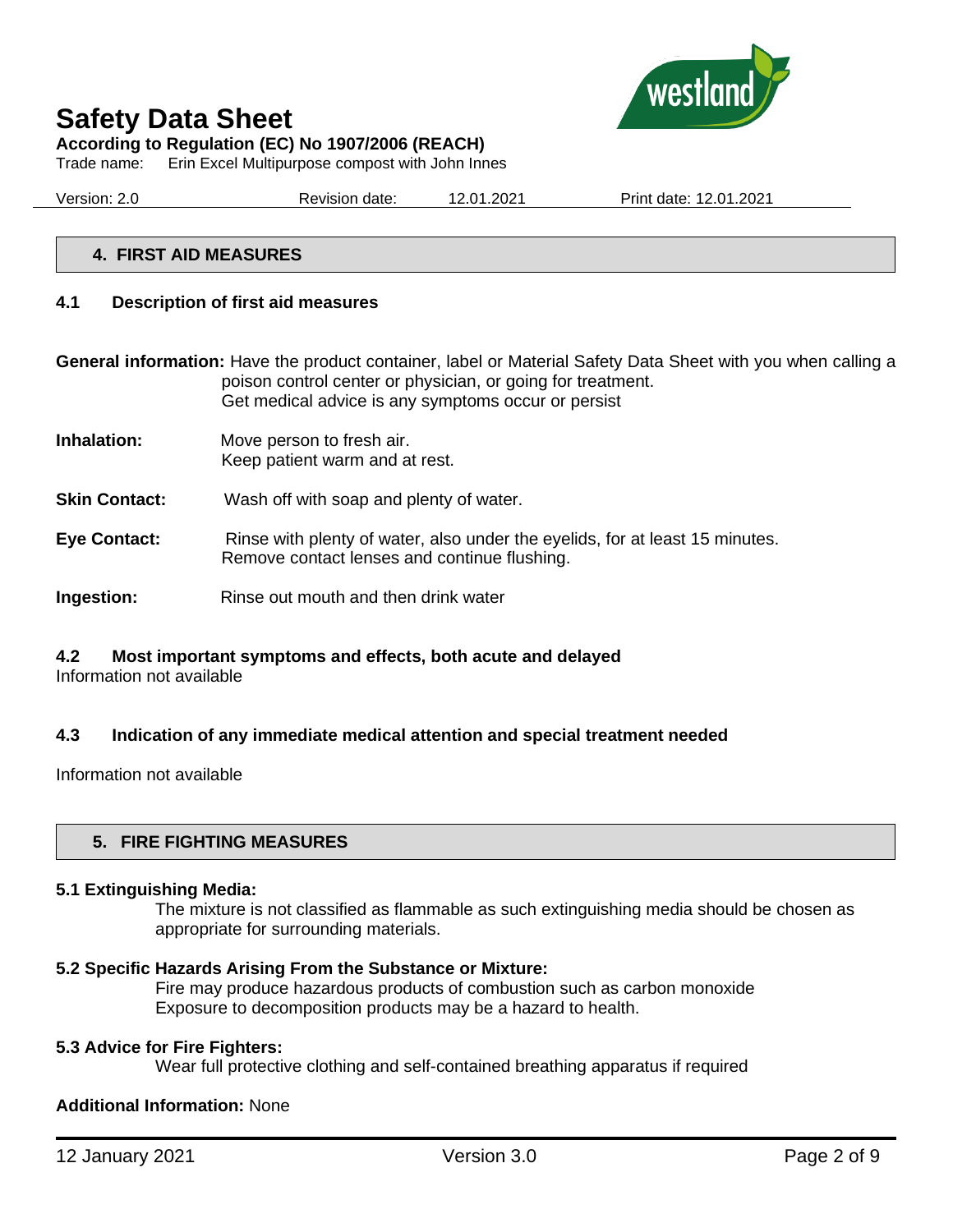

**According to Regulation (EC) No 1907/2006 (REACH)**

Trade name: Erin Excel Multipurpose compost with John Innes

Version: 2.0 Revision date: 12.01.2021 Print date: 12.01.2021

#### **4. FIRST AID MEASURES**

#### **4.1 Description of first aid measures**

**General information:** Have the product container, label or Material Safety Data Sheet with you when calling a poison control center or physician, or going for treatment. Get medical advice is any symptoms occur or persist

- **Inhalation:** Move person to fresh air. Keep patient warm and at rest.
- **Skin Contact:** Wash off with soap and plenty of water.
- **Eye Contact:** Rinse with plenty of water, also under the eyelids, for at least 15 minutes. Remove contact lenses and continue flushing.
- **Ingestion:** Rinse out mouth and then drink water

#### **4.2 Most important symptoms and effects, both acute and delayed**

Information not available

#### **4.3 Indication of any immediate medical attention and special treatment needed**

Information not available

#### **5. FIRE FIGHTING MEASURES**

#### **5.1 Extinguishing Media:**

The mixture is not classified as flammable as such extinguishing media should be chosen as appropriate for surrounding materials.

#### **5.2 Specific Hazards Arising From the Substance or Mixture:**

Fire may produce hazardous products of combustion such as carbon monoxide Exposure to decomposition products may be a hazard to health.

#### **5.3 Advice for Fire Fighters:**

Wear full protective clothing and self-contained breathing apparatus if required

#### **Additional Information:** None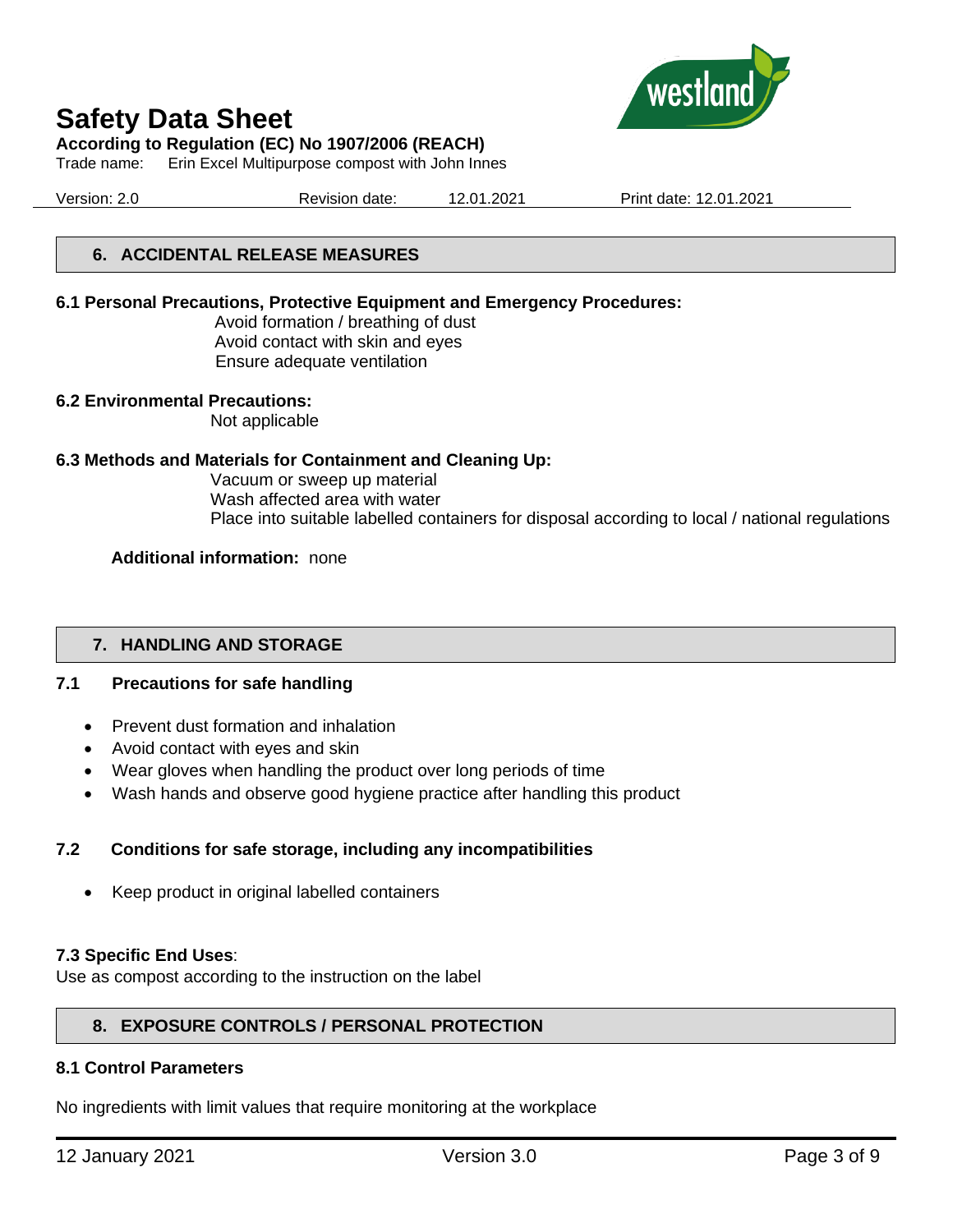

**According to Regulation (EC) No 1907/2006 (REACH)**

Trade name: Erin Excel Multipurpose compost with John Innes

Version: 2.0 Revision date: 12.01.2021 Print date: 12.01.2021

#### **6. ACCIDENTAL RELEASE MEASURES**

#### **6.1 Personal Precautions, Protective Equipment and Emergency Procedures:**

Avoid formation / breathing of dust Avoid contact with skin and eyes Ensure adequate ventilation

#### **6.2 Environmental Precautions:**

Not applicable

#### **6.3 Methods and Materials for Containment and Cleaning Up:**

Vacuum or sweep up material Wash affected area with water Place into suitable labelled containers for disposal according to local / national regulations

#### **Additional information:** none

#### **7. HANDLING AND STORAGE**

#### **7.1 Precautions for safe handling**

- Prevent dust formation and inhalation
- Avoid contact with eyes and skin
- Wear gloves when handling the product over long periods of time
- Wash hands and observe good hygiene practice after handling this product

#### **7.2 Conditions for safe storage, including any incompatibilities**

• Keep product in original labelled containers

#### **7.3 Specific End Uses**:

Use as compost according to the instruction on the label

#### **8. EXPOSURE CONTROLS / PERSONAL PROTECTION**

#### **8.1 Control Parameters**

No ingredients with limit values that require monitoring at the workplace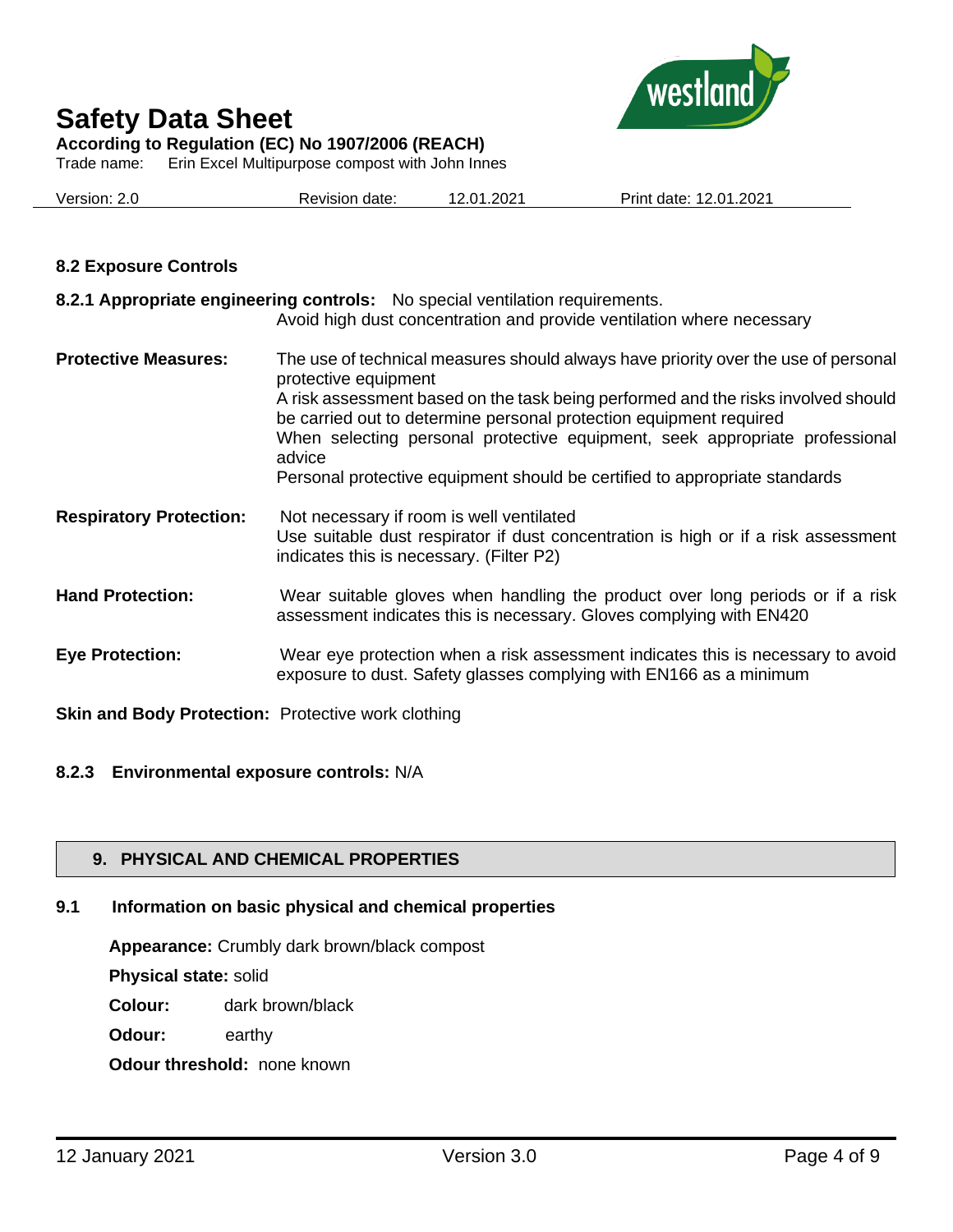

**According to Regulation (EC) No 1907/2006 (REACH)**

Trade name: Erin Excel Multipurpose compost with John Innes

|  | Version: 2.0 | Revision date: | 12.01.2021 | Print date: 12.01.2021 |
|--|--------------|----------------|------------|------------------------|
|--|--------------|----------------|------------|------------------------|

#### **8.2 Exposure Controls**

|                                | 8.2.1 Appropriate engineering controls: No special ventilation requirements.<br>Avoid high dust concentration and provide ventilation where necessary                                                                                                                                                                                                                                                                                        |
|--------------------------------|----------------------------------------------------------------------------------------------------------------------------------------------------------------------------------------------------------------------------------------------------------------------------------------------------------------------------------------------------------------------------------------------------------------------------------------------|
| <b>Protective Measures:</b>    | The use of technical measures should always have priority over the use of personal<br>protective equipment<br>A risk assessment based on the task being performed and the risks involved should<br>be carried out to determine personal protection equipment required<br>When selecting personal protective equipment, seek appropriate professional<br>advice<br>Personal protective equipment should be certified to appropriate standards |
| <b>Respiratory Protection:</b> | Not necessary if room is well ventilated<br>Use suitable dust respirator if dust concentration is high or if a risk assessment<br>indicates this is necessary. (Filter P2)                                                                                                                                                                                                                                                                   |
| <b>Hand Protection:</b>        | Wear suitable gloves when handling the product over long periods or if a risk<br>assessment indicates this is necessary. Gloves complying with EN420                                                                                                                                                                                                                                                                                         |
| <b>Eye Protection:</b>         | Wear eye protection when a risk assessment indicates this is necessary to avoid<br>exposure to dust. Safety glasses complying with EN166 as a minimum                                                                                                                                                                                                                                                                                        |

**Skin and Body Protection:** Protective work clothing

#### **8.2.3 Environmental exposure controls:** N/A

#### **9. PHYSICAL AND CHEMICAL PROPERTIES**

#### **9.1 Information on basic physical and chemical properties**

**Appearance:** Crumbly dark brown/black compost

**Physical state:** solid

**Colour:** dark brown/black

**Odour:** earthy

**Odour threshold:** none known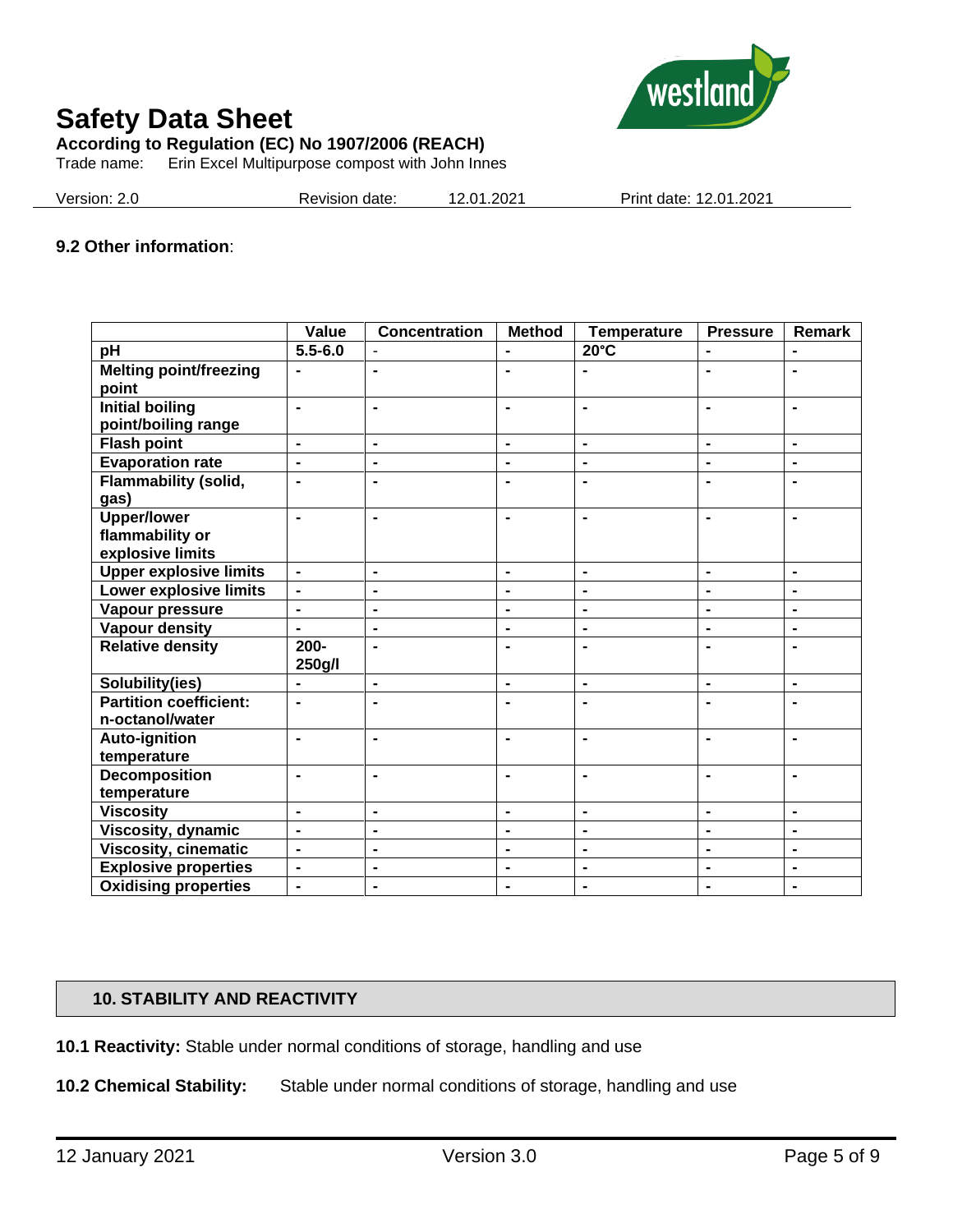

**According to Regulation (EC) No 1907/2006 (REACH)**

Trade name: Erin Excel Multipurpose compost with John Innes

Version: 2.0 Revision date: 12.01.2021 Print date: 12.01.2021

#### **9.2 Other information**:

|                               | Value          | <b>Concentration</b> | <b>Method</b>  | <b>Temperature</b> | <b>Pressure</b> | Remark         |
|-------------------------------|----------------|----------------------|----------------|--------------------|-----------------|----------------|
| pH                            | $5.5 - 6.0$    |                      |                | $20^{\circ}$ C     |                 | $\blacksquare$ |
| <b>Melting point/freezing</b> | $\blacksquare$ | $\blacksquare$       | $\blacksquare$ |                    | $\blacksquare$  | $\blacksquare$ |
| point                         |                |                      |                |                    |                 |                |
| <b>Initial boiling</b>        | ÷,             | $\blacksquare$       | $\blacksquare$ | $\blacksquare$     | $\blacksquare$  | $\blacksquare$ |
| point/boiling range           |                |                      |                |                    |                 |                |
| <b>Flash point</b>            | $\blacksquare$ | $\blacksquare$       | $\blacksquare$ | $\blacksquare$     | $\blacksquare$  | $\blacksquare$ |
| <b>Evaporation rate</b>       | $\blacksquare$ | $\blacksquare$       | $\blacksquare$ | $\blacksquare$     | $\blacksquare$  | $\blacksquare$ |
| <b>Flammability (solid,</b>   | $\blacksquare$ | $\blacksquare$       | $\blacksquare$ | $\blacksquare$     |                 | $\blacksquare$ |
| gas)                          |                |                      |                |                    |                 |                |
| <b>Upper/lower</b>            | $\blacksquare$ | $\blacksquare$       | $\blacksquare$ | $\blacksquare$     | $\blacksquare$  | $\blacksquare$ |
| flammability or               |                |                      |                |                    |                 |                |
| explosive limits              |                |                      |                |                    |                 |                |
| <b>Upper explosive limits</b> | $\blacksquare$ | $\blacksquare$       | $\blacksquare$ | $\blacksquare$     | $\blacksquare$  | $\blacksquare$ |
| Lower explosive limits        | $\blacksquare$ | $\blacksquare$       | $\blacksquare$ | $\blacksquare$     | $\blacksquare$  | $\blacksquare$ |
| Vapour pressure               | $\blacksquare$ | $\blacksquare$       | $\blacksquare$ | $\blacksquare$     | $\blacksquare$  | $\blacksquare$ |
| <b>Vapour density</b>         | $\blacksquare$ | $\blacksquare$       | $\blacksquare$ | $\blacksquare$     | $\blacksquare$  | $\blacksquare$ |
| <b>Relative density</b>       | $200 -$        | $\blacksquare$       | $\blacksquare$ | $\blacksquare$     | $\blacksquare$  | $\blacksquare$ |
|                               | 250g/l         |                      |                |                    |                 |                |
| Solubility(ies)               | $\blacksquare$ | $\blacksquare$       | $\blacksquare$ | $\blacksquare$     | $\blacksquare$  | $\blacksquare$ |
| <b>Partition coefficient:</b> | $\blacksquare$ | $\blacksquare$       | $\blacksquare$ | $\blacksquare$     |                 | $\blacksquare$ |
| n-octanol/water               |                |                      |                |                    |                 |                |
| Auto-ignition                 | $\blacksquare$ | $\blacksquare$       | $\blacksquare$ | $\blacksquare$     | $\blacksquare$  | $\blacksquare$ |
| temperature                   |                |                      |                |                    |                 |                |
| <b>Decomposition</b>          | $\blacksquare$ | $\blacksquare$       | $\blacksquare$ | $\blacksquare$     |                 | $\blacksquare$ |
| temperature                   |                |                      |                |                    |                 |                |
| <b>Viscosity</b>              | $\blacksquare$ | $\blacksquare$       | $\blacksquare$ | $\blacksquare$     | $\blacksquare$  | $\blacksquare$ |
| Viscosity, dynamic            | $\overline{a}$ | $\blacksquare$       | $\blacksquare$ | $\blacksquare$     | $\blacksquare$  | $\blacksquare$ |
| <b>Viscosity, cinematic</b>   | $\blacksquare$ | $\blacksquare$       | $\blacksquare$ | $\blacksquare$     | $\blacksquare$  | $\blacksquare$ |
| <b>Explosive properties</b>   | $\blacksquare$ | $\blacksquare$       | $\blacksquare$ | $\blacksquare$     | $\blacksquare$  | $\blacksquare$ |
| <b>Oxidising properties</b>   | $\blacksquare$ | $\blacksquare$       | $\blacksquare$ | $\blacksquare$     | $\blacksquare$  | $\blacksquare$ |

#### **10. STABILITY AND REACTIVITY**

**10.1 Reactivity:** Stable under normal conditions of storage, handling and use

**10.2 Chemical Stability:** Stable under normal conditions of storage, handling and use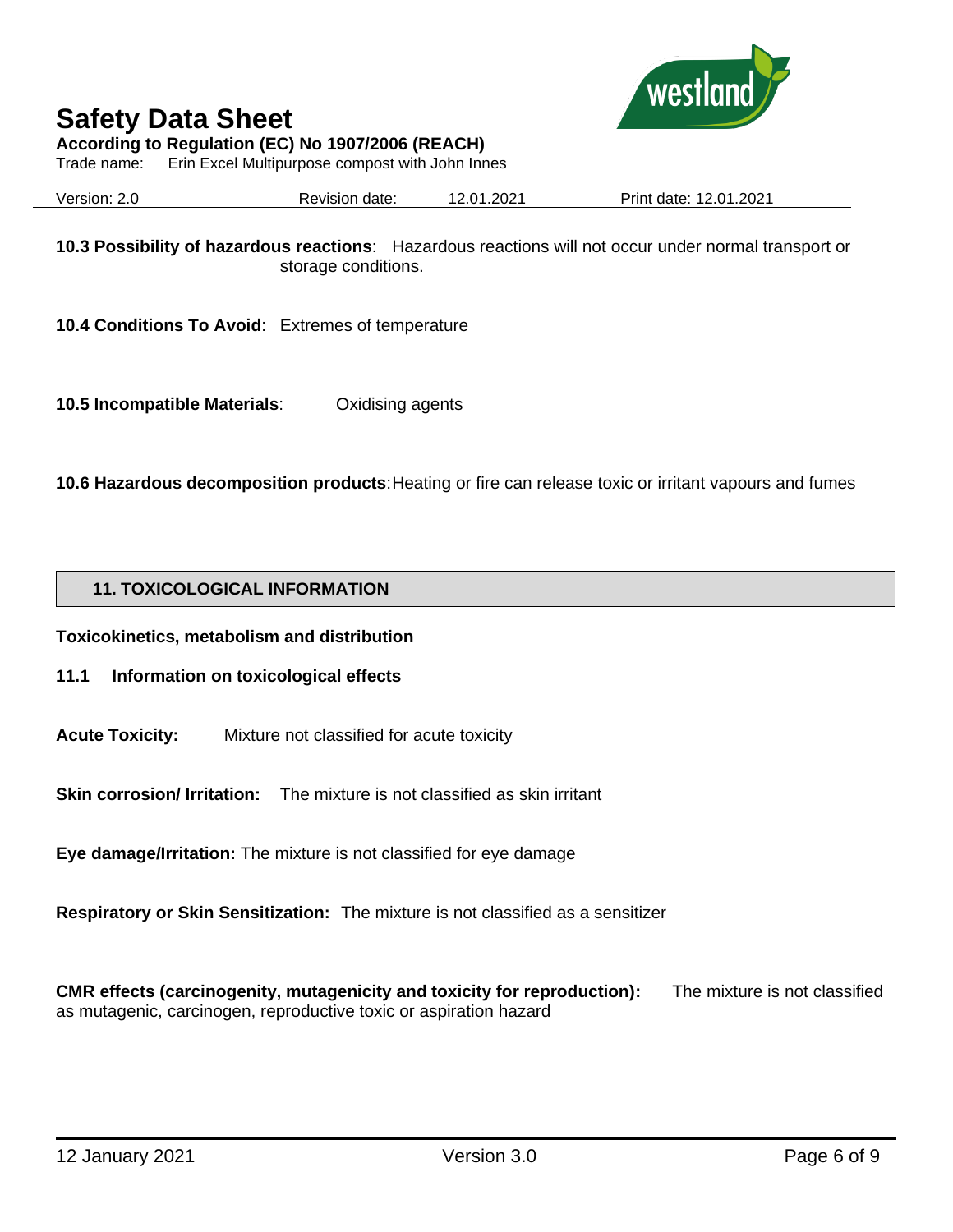

**According to Regulation (EC) No 1907/2006 (REACH)**

Trade name: Erin Excel Multipurpose compost with John Innes

Version: 2.0 Revision date: 12.01.2021 Print date: 12.01.2021

**10.3 Possibility of hazardous reactions**: Hazardous reactions will not occur under normal transport or storage conditions.

**10.4 Conditions To Avoid**: Extremes of temperature

**10.5 Incompatible Materials**: Oxidising agents

**10.6 Hazardous decomposition products**: Heating or fire can release toxic or irritant vapours and fumes

#### **11. TOXICOLOGICAL INFORMATION**

**Toxicokinetics, metabolism and distribution**

- **11.1 Information on toxicological effects**
- **Acute Toxicity:** Mixture not classified for acute toxicity

**Skin corrosion/ Irritation:** The mixture is not classified as skin irritant

**Eye damage/Irritation:** The mixture is not classified for eye damage

**Respiratory or Skin Sensitization:** The mixture is not classified as a sensitizer

**CMR effects (carcinogenity, mutagenicity and toxicity for reproduction):** The mixture is not classified as mutagenic, carcinogen, reproductive toxic or aspiration hazard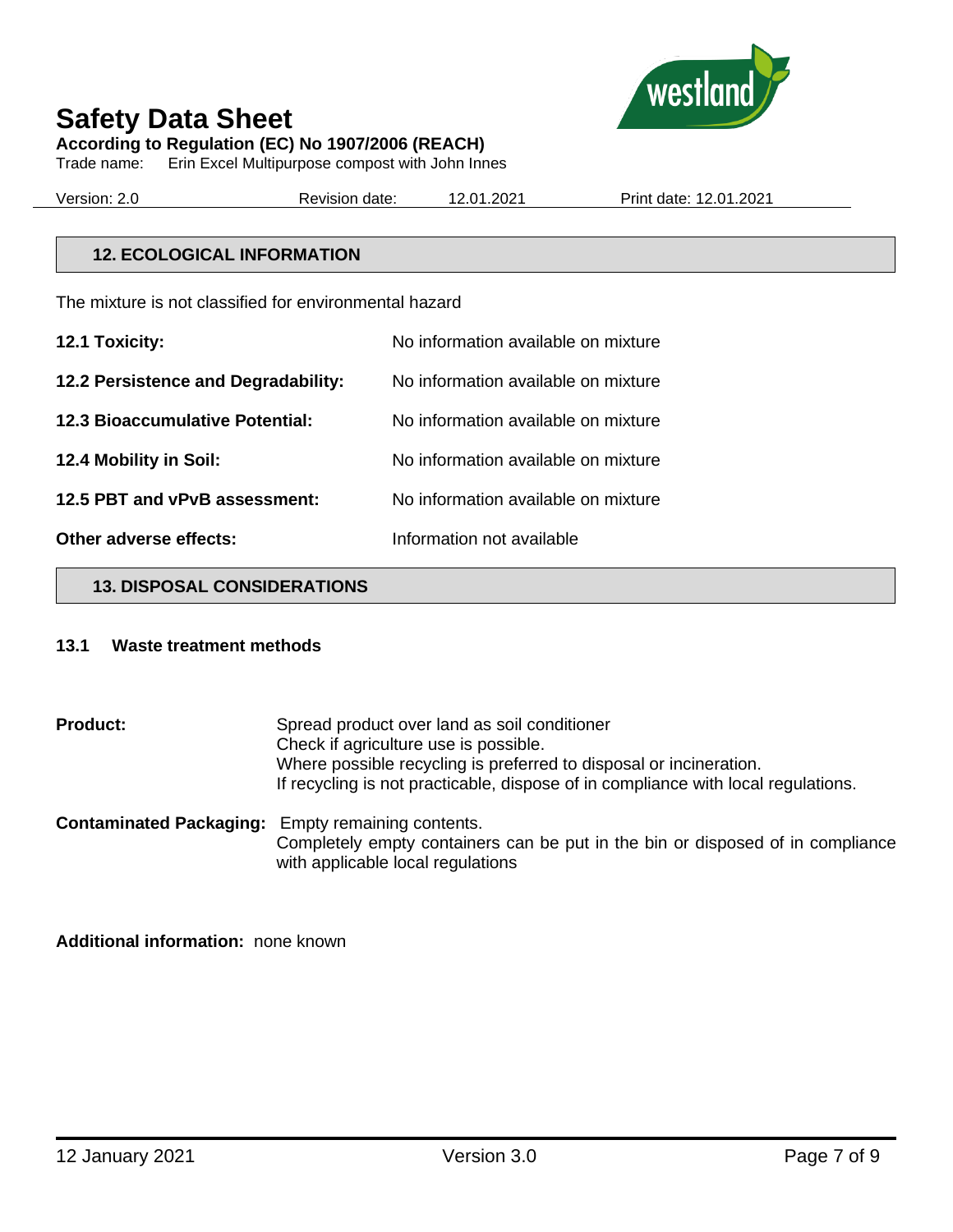

#### **Safety Data Sheet According to Regulation (EC) No 1907/2006 (REACH)**

Trade name: Erin Excel Multipurpose compost with John Innes

Version: 2.0 Revision date: 12.01.2021 Print date: 12.01.2021

#### **12. ECOLOGICAL INFORMATION**

The mixture is not classified for environmental hazard

| 12.1 Toxicity:                         | No information available on mixture |
|----------------------------------------|-------------------------------------|
| 12.2 Persistence and Degradability:    | No information available on mixture |
| <b>12.3 Bioaccumulative Potential:</b> | No information available on mixture |
| 12.4 Mobility in Soil:                 | No information available on mixture |
| 12.5 PBT and vPvB assessment:          | No information available on mixture |
| Other adverse effects:                 | Information not available           |

#### **13. DISPOSAL CONSIDERATIONS**

#### **13.1 Waste treatment methods**

**Product:** Spread product over land as soil conditioner Check if agriculture use is possible. Where possible recycling is preferred to disposal or incineration. If recycling is not practicable, dispose of in compliance with local regulations. **Contaminated Packaging:** Empty remaining contents. Completely empty containers can be put in the bin or disposed of in compliance

with applicable local regulations

**Additional information:** none known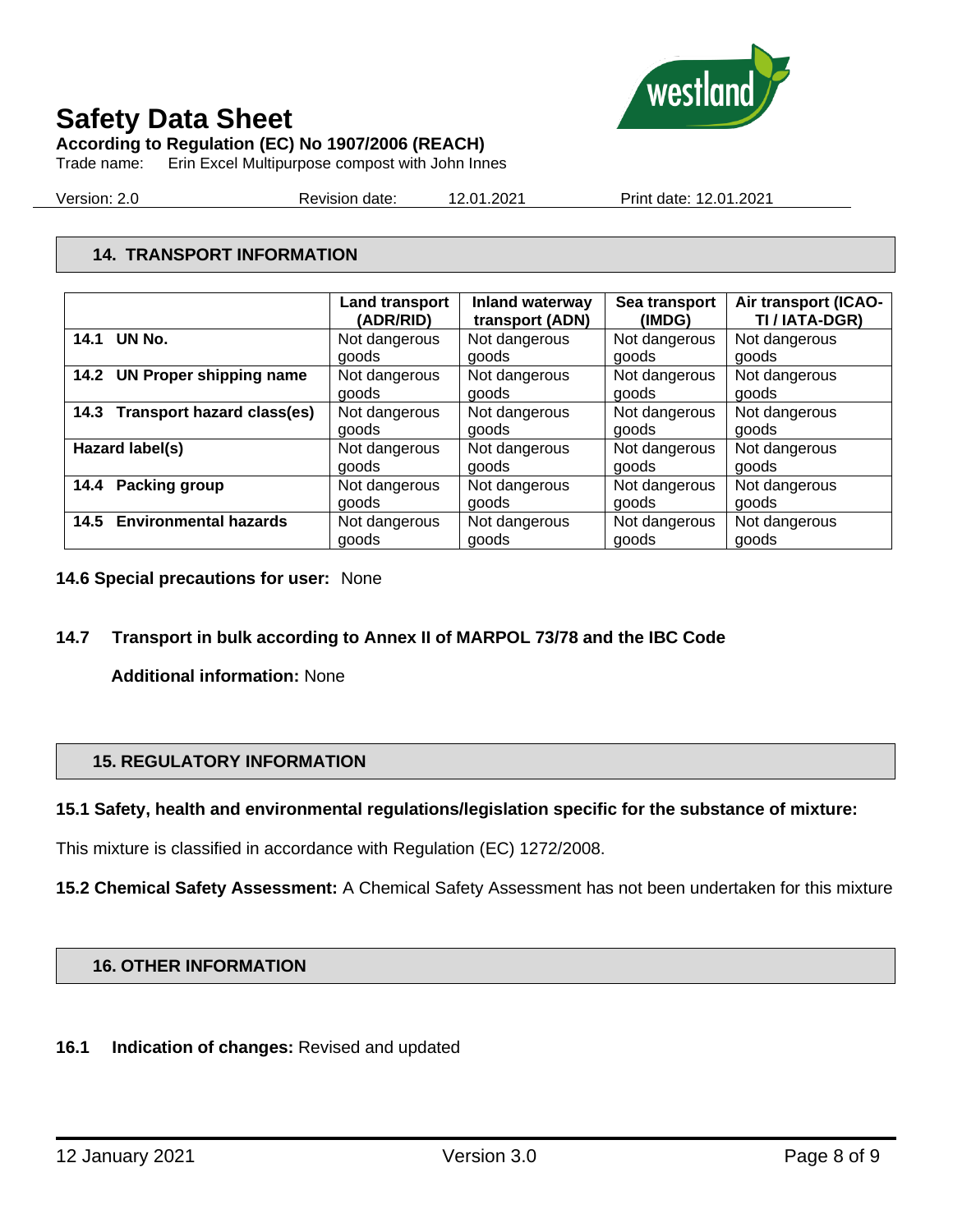

**According to Regulation (EC) No 1907/2006 (REACH)**

Trade name: Erin Excel Multipurpose compost with John Innes

Version: 2.0 Revision date: 12.01.2021 Print date: 12.01.2021

#### **14. TRANSPORT INFORMATION**

|                                        | <b>Land transport</b><br>(ADR/RID) | Inland waterway<br>transport (ADN) | Sea transport<br>(IMDG) | Air transport (ICAO-<br>TI / IATA-DGR) |
|----------------------------------------|------------------------------------|------------------------------------|-------------------------|----------------------------------------|
| UN No.<br>14.1                         | Not dangerous                      | Not dangerous                      | Not dangerous           | Not dangerous                          |
|                                        | goods                              | goods                              | goods                   | goods                                  |
| <b>UN Proper shipping name</b><br>14.2 | Not dangerous                      | Not dangerous                      | Not dangerous           | Not dangerous                          |
|                                        | goods                              | goods                              | goods                   | goods                                  |
| 14.3 Transport hazard class(es)        | Not dangerous                      | Not dangerous                      | Not dangerous           | Not dangerous                          |
|                                        | goods                              | goods                              | goods                   | goods                                  |
| Hazard label(s)                        | Not dangerous                      | Not dangerous                      | Not dangerous           | Not dangerous                          |
|                                        | goods                              | goods                              | goods                   | goods                                  |
| Packing group<br>14.4                  | Not dangerous                      | Not dangerous                      | Not dangerous           | Not dangerous                          |
|                                        | goods                              | goods                              | goods                   | goods                                  |
| <b>Environmental hazards</b><br>14.5   | Not dangerous                      | Not dangerous                      | Not dangerous           | Not dangerous                          |
|                                        | goods                              | goods                              | goods                   | goods                                  |

#### **14.6 Special precautions for user:** None

#### **14.7 Transport in bulk according to Annex II of MARPOL 73/78 and the IBC Code**

**Additional information:** None

#### **15. REGULATORY INFORMATION**

#### **15.1 Safety, health and environmental regulations/legislation specific for the substance of mixture:**

This mixture is classified in accordance with Regulation (EC) 1272/2008.

**15.2 Chemical Safety Assessment:** A Chemical Safety Assessment has not been undertaken for this mixture

#### **16. OTHER INFORMATION**

#### **16.1 Indication of changes:** Revised and updated